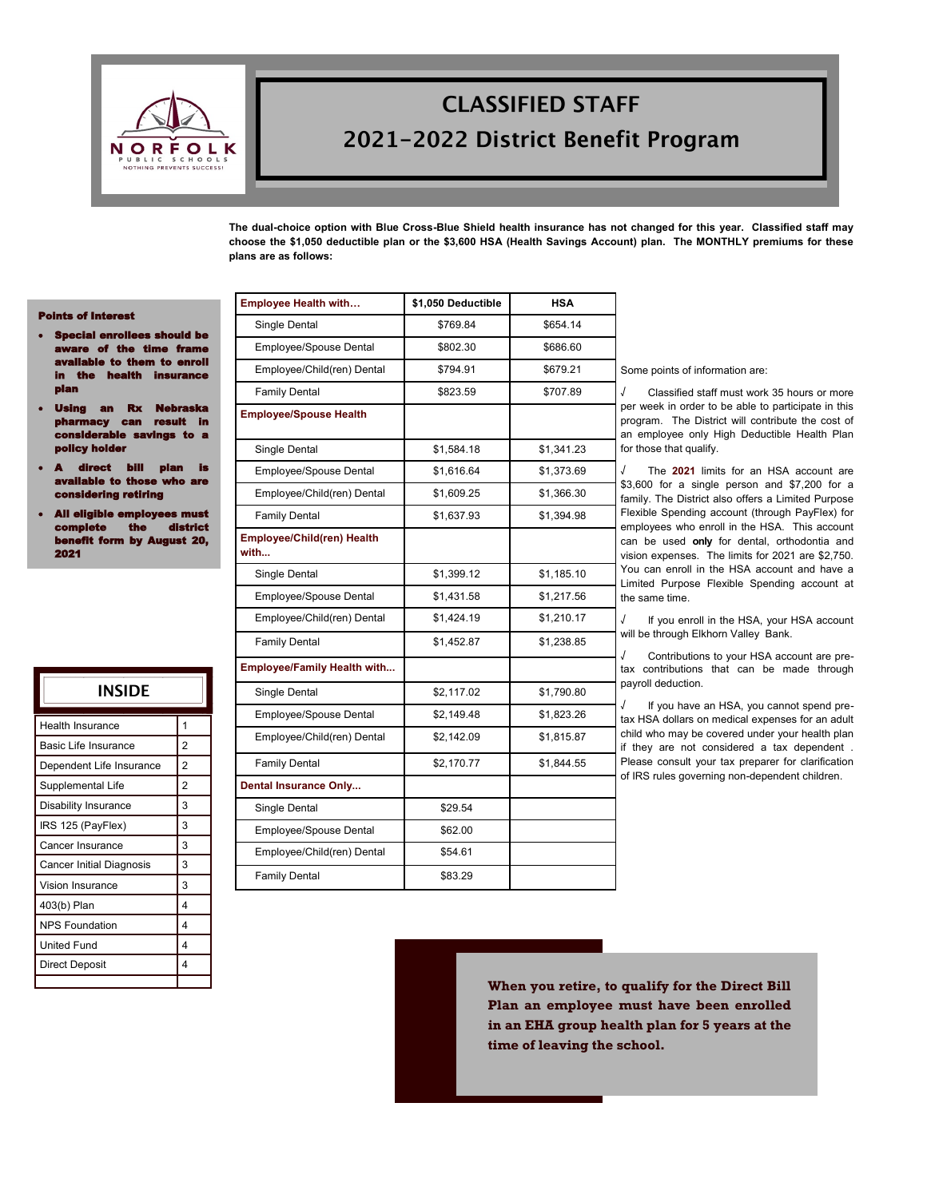

# **CLASSIFIED STAFF** 2021-2022 District Benefit Program

**The dual-choice option with Blue Cross-Blue Shield health insurance has not changed for this year. Classified staff may choose the \$1,050 deductible plan or the \$3,600 HSA (Health Savings Account) plan. The MONTHLY premiums for these plans are as follows:**

#### Points of Interest

- Special enrollees should be  $\mathbf{r}$  of the time frame ilable to them to enroll **ins** plan
- Rx Ne an result in considerable savings to a y holde
- ect bill plan i<mark>s</mark> ble to those who are considering retiring
- All eligible employees must complete the district **by August 20,** 2021

| INSIDE                   |                |
|--------------------------|----------------|
| <b>Health Insurance</b>  | 1              |
| Basic Life Insurance     | $\overline{2}$ |
| Dependent Life Insurance | $\overline{2}$ |
| Supplemental Life        | $\overline{2}$ |
| Disability Insurance     | 3              |
| IRS 125 (PayFlex)        | 3              |
| Cancer Insurance         | 3              |
| Cancer Initial Diagnosis | 3              |
| Vision Insurance         | 3              |
| 403(b) Plan              | 4              |
| <b>NPS Foundation</b>    | 4              |
| <b>United Fund</b>       | 4              |
| <b>Direct Deposit</b>    | 4              |
|                          |                |

| <b>Employee Health with</b>        | \$1,050 Deductible | <b>HSA</b> |
|------------------------------------|--------------------|------------|
| Single Dental                      | \$769.84           | \$654.14   |
| Employee/Spouse Dental             | \$802.30           | \$686.60   |
| Employee/Child(ren) Dental         | \$794.91           | \$679.21   |
| <b>Family Dental</b>               | \$823.59           | \$707.89   |
| <b>Employee/Spouse Health</b>      |                    |            |
| Single Dental                      | \$1,584.18         | \$1,341.23 |
| Employee/Spouse Dental             | \$1,616.64         | \$1,373.69 |
| Employee/Child(ren) Dental         | \$1,609.25         | \$1,366.30 |
| <b>Family Dental</b>               | \$1,637.93         | \$1,394.98 |
| Employee/Child(ren) Health<br>with |                    |            |
| Single Dental                      | \$1,399.12         | \$1,185.10 |
| Employee/Spouse Dental             | \$1,431.58         | \$1,217.56 |
| Employee/Child(ren) Dental         | \$1,424.19         | \$1,210.17 |
| <b>Family Dental</b>               | \$1,452.87         | \$1,238.85 |
| <b>Employee/Family Health with</b> |                    |            |
| Single Dental                      | \$2,117.02         | \$1,790.80 |
| Employee/Spouse Dental             | \$2,149.48         | \$1,823.26 |
| Employee/Child(ren) Dental         | \$2,142.09         | \$1,815.87 |
| <b>Family Dental</b>               | \$2,170.77         | \$1,844.55 |
| <b>Dental Insurance Only</b>       |                    |            |
| Single Dental                      | \$29.54            |            |
| Employee/Spouse Dental             | \$62.00            |            |
| Employee/Child(ren) Dental         | \$54.61            |            |
| <b>Family Dental</b>               | \$83.29            |            |

Some points of information are:

√ Classified staff must work 35 hours or more per week in order to be able to participate in this program. The District will contribute the cost of an employee only High Deductible Health Plan for those that qualify.

The **2021** limits for an HSA account are \$3,600 for a single person and \$7,200 for a family. The District also offers a Limited Purpose Flexible Spending account (through PayFlex) for employees who enroll in the HSA. This account can be used **only** for dental, orthodontia and vision expenses. The limits for 2021 are \$2,750. You can enroll in the HSA account and have a Limited Purpose Flexible Spending account at the same time.

If you enroll in the HSA, your HSA account will be through Elkhorn Valley Bank.

√ Contributions to your HSA account are pretax contributions that can be made through payroll deduction.

If you have an HSA, you cannot spend pretax HSA dollars on medical expenses for an adult child who may be covered under your health plan if they are not considered a tax dependent . Please consult your tax preparer for clarification of IRS rules governing non-dependent children.

**When you retire, to qualify for the Direct Bill Plan an employee must have been enrolled in an EHA group health plan for 5 years at the time of leaving the school.**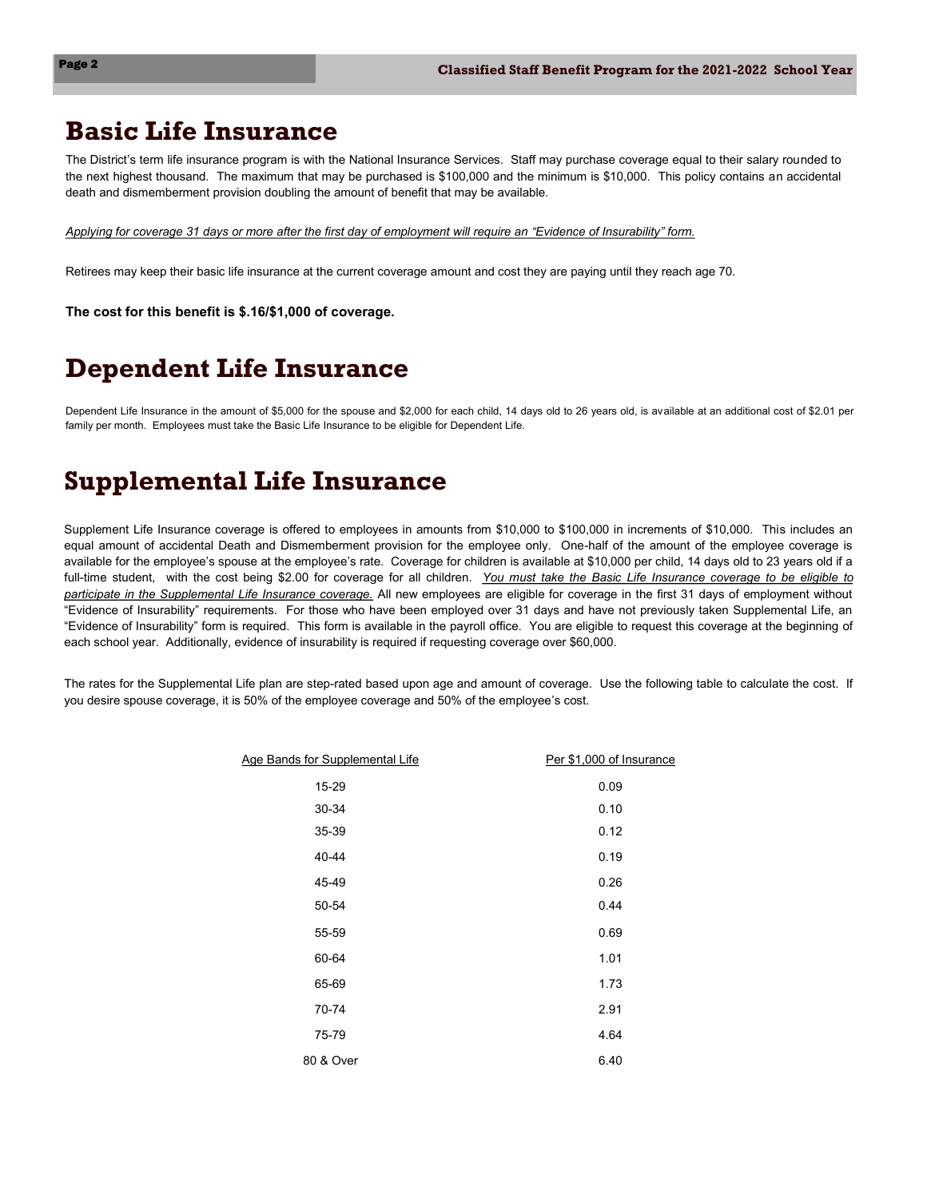## **Basic Life Insurance**

The District's term life insurance program is with the National Insurance Services. Staff may purchase coverage equal to their salary rounded to the next highest thousand. The maximum that may be purchased is \$100,000 and the minimum is \$10,000. This policy contains an accidental death and dismemberment provision doubling the amount of benefit that may be available.

*Applying for coverage 31 days or more after the first day of employment will require an "Evidence of Insurability" form.* 

Retirees may keep their basic life insurance at the current coverage amount and cost they are paying until they reach age 70.

**The cost for this benefit is \$.16/\$1,000 of coverage.**

# **Dependent Life Insurance**

Dependent Life Insurance in the amount of \$5,000 for the spouse and \$2,000 for each child, 14 days old to 26 years old, is available at an additional cost of \$2.01 per family per month. Employees must take the Basic Life Insurance to be eligible for Dependent Life.

# **Supplemental Life Insurance**

Supplement Life Insurance coverage is offered to employees in amounts from \$10,000 to \$100,000 in increments of \$10,000. This includes an equal amount of accidental Death and Dismemberment provision for the employee only. One-half of the amount of the employee coverage is available for the employee's spouse at the employee's rate. Coverage for children is available at \$10,000 per child, 14 days old to 23 years old if a full-time student, with the cost being \$2.00 for coverage for all children. *You must take the Basic Life Insurance coverage to be eligible to participate in the Supplemental Life Insurance coverage.* All new employees are eligible for coverage in the first 31 days of employment without "Evidence of Insurability" requirements. For those who have been employed over 31 days and have not previously taken Supplemental Life, an "Evidence of Insurability" form is required. This form is available in the payroll office. You are eligible to request this coverage at the beginning of each school year. Additionally, evidence of insurability is required if requesting coverage over \$60,000.

The rates for the Supplemental Life plan are step-rated based upon age and amount of coverage. Use the following table to calculate the cost. If you desire spouse coverage, it is 50% of the employee coverage and 50% of the employee's cost.

| Per \$1,000 of Insurance |
|--------------------------|
| 0.09                     |
| 0.10                     |
| 0.12                     |
| 0.19                     |
| 0.26                     |
| 0.44                     |
| 0.69                     |
| 1.01                     |
| 1.73                     |
| 2.91                     |
| 4.64                     |
| 6.40                     |
|                          |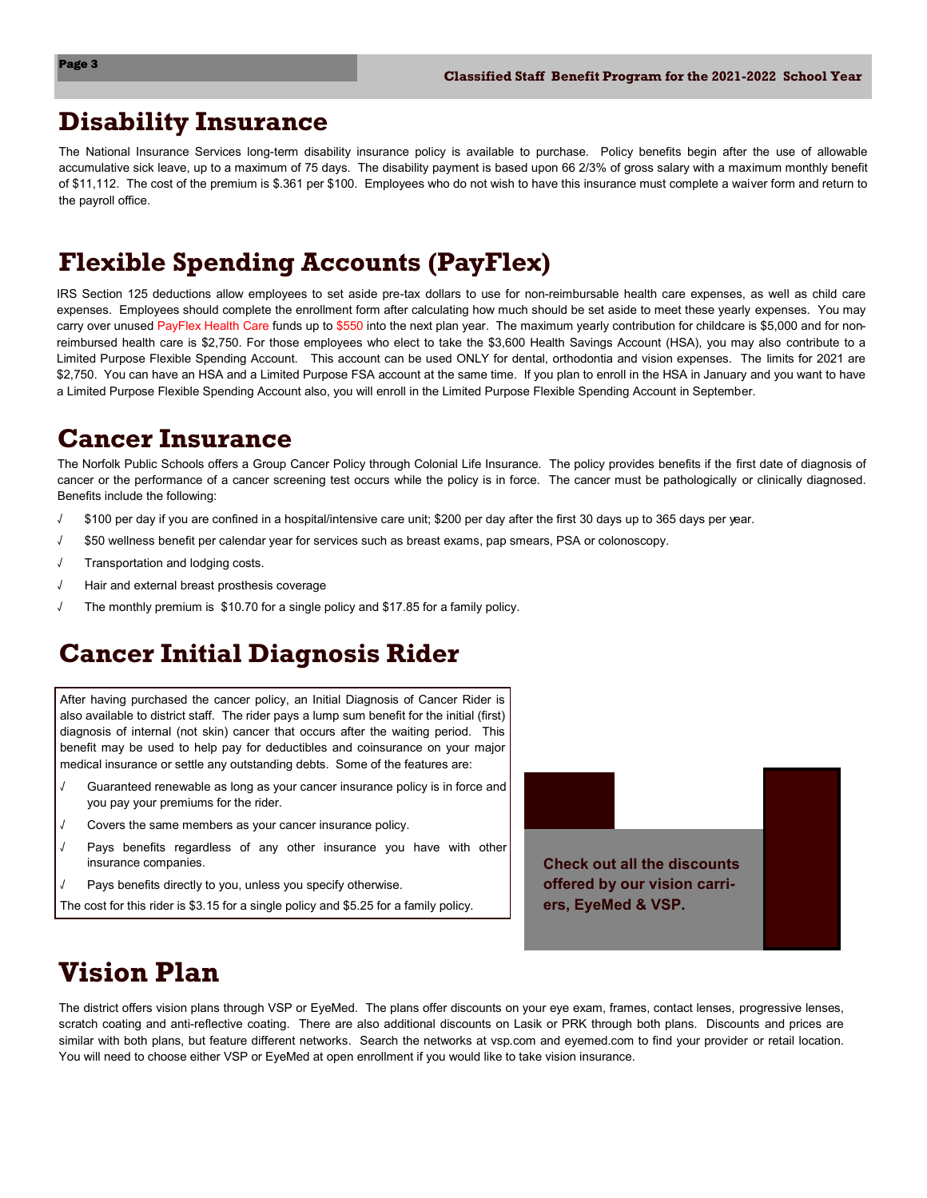#### **Disability Insurance**

The National Insurance Services long-term disability insurance policy is available to purchase. Policy benefits begin after the use of allowable accumulative sick leave, up to a maximum of 75 days. The disability payment is based upon 66 2/3% of gross salary with a maximum monthly benefit of \$11,112. The cost of the premium is \$.361 per \$100. Employees who do not wish to have this insurance must complete a waiver form and return to the payroll office.

## **Flexible Spending Accounts (PayFlex)**

IRS Section 125 deductions allow employees to set aside pre-tax dollars to use for non-reimbursable health care expenses, as well as child care expenses. Employees should complete the enrollment form after calculating how much should be set aside to meet these yearly expenses. You may carry over unused PayFlex Health Care funds up to \$550 into the next plan year. The maximum yearly contribution for childcare is \$5,000 and for nonreimbursed health care is \$2,750. For those employees who elect to take the \$3,600 Health Savings Account (HSA), you may also contribute to a Limited Purpose Flexible Spending Account. This account can be used ONLY for dental, orthodontia and vision expenses. The limits for 2021 are \$2,750. You can have an HSA and a Limited Purpose FSA account at the same time. If you plan to enroll in the HSA in January and you want to have a Limited Purpose Flexible Spending Account also, you will enroll in the Limited Purpose Flexible Spending Account in September.

### **Cancer Insurance**

The Norfolk Public Schools offers a Group Cancer Policy through Colonial Life Insurance. The policy provides benefits if the first date of diagnosis of cancer or the performance of a cancer screening test occurs while the policy is in force. The cancer must be pathologically or clinically diagnosed. Benefits include the following:

- \$100 per day if you are confined in a hospital/intensive care unit; \$200 per day after the first 30 days up to 365 days per year.
- √ \$50 wellness benefit per calendar year for services such as breast exams, pap smears, PSA or colonoscopy.
- Transportation and lodging costs.
- √ Hair and external breast prosthesis coverage
- The monthly premium is \$10.70 for a single policy and \$17.85 for a family policy.

# **Cancer Initial Diagnosis Rider**

After having purchased the cancer policy, an Initial Diagnosis of Cancer Rider is also available to district staff. The rider pays a lump sum benefit for the initial (first) diagnosis of internal (not skin) cancer that occurs after the waiting period. This benefit may be used to help pay for deductibles and coinsurance on your major medical insurance or settle any outstanding debts. Some of the features are:

- √ Guaranteed renewable as long as your cancer insurance policy is in force and you pay your premiums for the rider.
- √ Covers the same members as your cancer insurance policy.
- Pays benefits regardless of any other insurance you have with other insurance companies.
- Pays benefits directly to you, unless you specify otherwise.
- The cost for this rider is \$3.15 for a single policy and \$5.25 for a family policy.



# **Vision Plan**

The district offers vision plans through VSP or EyeMed. The plans offer discounts on your eye exam, frames, contact lenses, progressive lenses, scratch coating and anti-reflective coating. There are also additional discounts on Lasik or PRK through both plans. Discounts and prices are similar with both plans, but feature different networks. Search the networks at vsp.com and eyemed.com to find your provider or retail location. You will need to choose either VSP or EyeMed at open enrollment if you would like to take vision insurance.